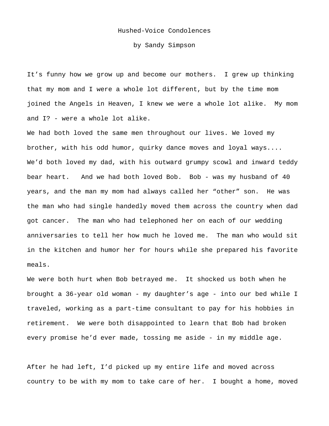## Hushed-Voice Condolences

by Sandy Simpson

It's funny how we grow up and become our mothers. I grew up thinking that my mom and I were a whole lot different, but by the time mom joined the Angels in Heaven, I knew we were a whole lot alike. My mom and I? - were a whole lot alike.

We had both loved the same men throughout our lives. We loved my brother, with his odd humor, quirky dance moves and loyal ways.... We'd both loved my dad, with his outward grumpy scowl and inward teddy bear heart. And we had both loved Bob. Bob - was my husband of 40 years, and the man my mom had always called her "other" son. He was the man who had single handedly moved them across the country when dad got cancer. The man who had telephoned her on each of our wedding anniversaries to tell her how much he loved me. The man who would sit in the kitchen and humor her for hours while she prepared his favorite meals.

We were both hurt when Bob betrayed me. It shocked us both when he brought a 36-year old woman - my daughter's age - into our bed while I traveled, working as a part-time consultant to pay for his hobbies in retirement. We were both disappointed to learn that Bob had broken every promise he'd ever made, tossing me aside - in my middle age.

After he had left, I'd picked up my entire life and moved across country to be with my mom to take care of her. I bought a home, moved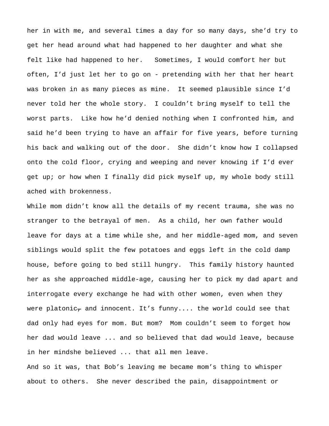her in with me, and several times a day for so many days, she'd try to get her head around what had happened to her daughter and what she felt like had happened to her. Sometimes, I would comfort her but often, I'd just let her to go on - pretending with her that her heart was broken in as many pieces as mine. It seemed plausible since I'd never told her the whole story. I couldn't bring myself to tell the worst parts. Like how he'd denied nothing when I confronted him, and said he'd been trying to have an affair for five years, before turning his back and walking out of the door. She didn't know how I collapsed onto the cold floor, crying and weeping and never knowing if I'd ever get up; or how when I finally did pick myself up, my whole body still ached with brokenness.

While mom didn't know all the details of my recent trauma, she was no stranger to the betrayal of men. As a child, her own father would leave for days at a time while she, and her middle-aged mom, and seven siblings would split the few potatoes and eggs left in the cold damp house, before going to bed still hungry. This family history haunted her as she approached middle-age, causing her to pick my dad apart and interrogate every exchange he had with other women, even when they were platonic<sub></sub> and innocent. It's funny.... the world could see that dad only had eyes for mom. But mom? Mom couldn't seem to forget how her dad would leave ... and so believed that dad would leave, because in her mindshe believed ... that all men leave.

And so it was, that Bob's leaving me became mom's thing to whisper about to others. She never described the pain, disappointment or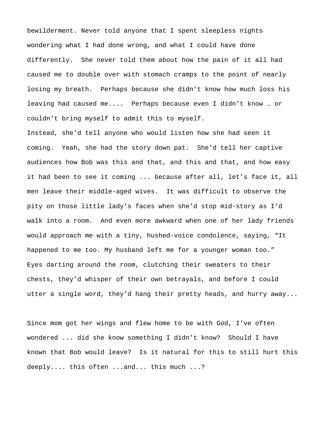bewilderment. Never told anyone that I spent sleepless nights wondering what I had done wrong, and what I could have done differently. She never told them about how the pain of it all had caused me to double over with stomach cramps to the point of nearly losing my breath. Perhaps because she didn't know how much loss his leaving had caused me.... Perhaps because even I didn't know … or couldn't bring myself to admit this to myself.

Instead, she'd tell anyone who would listen how she had seen it coming. Yeah, she had the story down pat. She'd tell her captive audiences how Bob was this and that, and this and that, and how easy it had been to see it coming ... because after all, let's face it, all men leave their middle-aged wives. It was difficult to observe the pity on those little lady's faces when she'd stop mid-story as I'd walk into a room. And even more awkward when one of her lady friends would approach me with a tiny, hushed-voice condolence, saying, "It happened to me too. My husband left me for a younger woman too." Eyes darting around the room, clutching their sweaters to their chests, they'd whisper of their own betrayals, and before I could utter a single word, they'd hang their pretty heads, and hurry away...

Since mom got her wings and flew home to be with God, I've often wondered ... did she know something I didn't know? Should I have known that Bob would leave? Is it natural for this to still hurt this deeply.... this often ...and... this much ...?